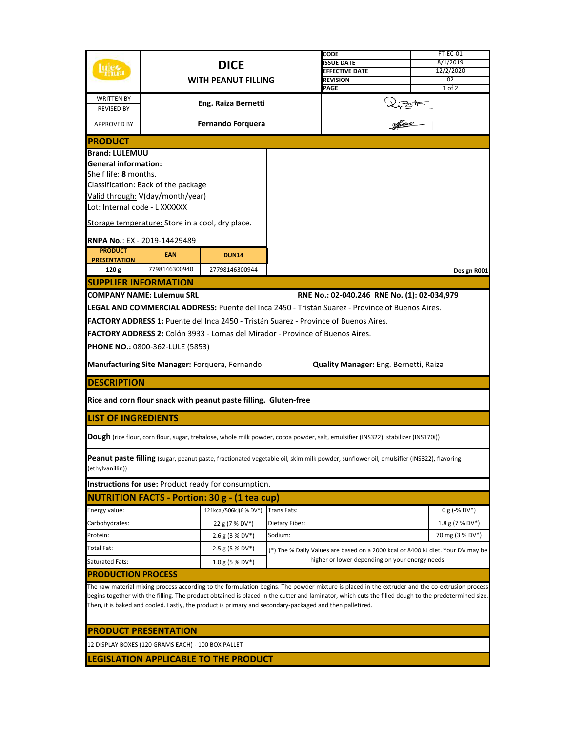|                                                                                                                                                                                                                                                                                                                                                                                                                    | <b>DICE</b><br><b>WITH PEANUT FILLING</b> |                                                                               |                    | CODE<br><b>ISSUE DATE</b><br><b>EFFECTIVE DATE</b><br><b>REVISION</b>           | FT-EC-01<br>8/1/2019<br>12/2/2020<br>02 |  |  |
|--------------------------------------------------------------------------------------------------------------------------------------------------------------------------------------------------------------------------------------------------------------------------------------------------------------------------------------------------------------------------------------------------------------------|-------------------------------------------|-------------------------------------------------------------------------------|--------------------|---------------------------------------------------------------------------------|-----------------------------------------|--|--|
|                                                                                                                                                                                                                                                                                                                                                                                                                    |                                           |                                                                               |                    | PAGE                                                                            | 1 of 2                                  |  |  |
| <b>WRITTEN BY</b><br><b>REVISED BY</b>                                                                                                                                                                                                                                                                                                                                                                             |                                           | Eng. Raiza Bernetti                                                           |                    |                                                                                 |                                         |  |  |
| APPROVED BY                                                                                                                                                                                                                                                                                                                                                                                                        |                                           | Fernando Forquera                                                             |                    | 273                                                                             |                                         |  |  |
| <b>IPRODUCT</b>                                                                                                                                                                                                                                                                                                                                                                                                    |                                           |                                                                               |                    |                                                                                 |                                         |  |  |
| <b>Brand: LULEMUU</b>                                                                                                                                                                                                                                                                                                                                                                                              |                                           |                                                                               |                    |                                                                                 |                                         |  |  |
| <b>General information:</b>                                                                                                                                                                                                                                                                                                                                                                                        |                                           |                                                                               |                    |                                                                                 |                                         |  |  |
| Shelf life: 8 months.                                                                                                                                                                                                                                                                                                                                                                                              |                                           |                                                                               |                    |                                                                                 |                                         |  |  |
| Classification: Back of the package                                                                                                                                                                                                                                                                                                                                                                                |                                           |                                                                               |                    |                                                                                 |                                         |  |  |
| Valid through: V(day/month/year)<br>Lot: Internal code - L XXXXXX                                                                                                                                                                                                                                                                                                                                                  |                                           |                                                                               |                    |                                                                                 |                                         |  |  |
|                                                                                                                                                                                                                                                                                                                                                                                                                    |                                           |                                                                               |                    |                                                                                 |                                         |  |  |
| Storage temperature: Store in a cool, dry place.                                                                                                                                                                                                                                                                                                                                                                   |                                           |                                                                               |                    |                                                                                 |                                         |  |  |
|                                                                                                                                                                                                                                                                                                                                                                                                                    | RNPA No.: EX - 2019-14429489              |                                                                               |                    |                                                                                 |                                         |  |  |
| <b>PRODUCT</b>                                                                                                                                                                                                                                                                                                                                                                                                     | <b>EAN</b>                                | <b>DUN14</b>                                                                  |                    |                                                                                 |                                         |  |  |
| <b>PRESENTATION</b><br>120 g                                                                                                                                                                                                                                                                                                                                                                                       | 7798146300940                             | 27798146300944                                                                |                    |                                                                                 | Design R001                             |  |  |
| <b>SUPPLIER INFORMATION</b>                                                                                                                                                                                                                                                                                                                                                                                        |                                           |                                                                               |                    |                                                                                 |                                         |  |  |
|                                                                                                                                                                                                                                                                                                                                                                                                                    | <b>COMPANY NAME: Lulemuu SRL</b>          |                                                                               |                    | RNE No.: 02-040.246 RNE No. (1): 02-034,979                                     |                                         |  |  |
| <b>LEGAL AND COMMERCIAL ADDRESS: Puente del Inca 2450 - Tristán Suarez - Province of Buenos Aires.</b>                                                                                                                                                                                                                                                                                                             |                                           |                                                                               |                    |                                                                                 |                                         |  |  |
| FACTORY ADDRESS 1: Puente del Inca 2450 - Tristán Suarez - Province of Buenos Aires.                                                                                                                                                                                                                                                                                                                               |                                           |                                                                               |                    |                                                                                 |                                         |  |  |
|                                                                                                                                                                                                                                                                                                                                                                                                                    |                                           | FACTORY ADDRESS 2: Colón 3933 - Lomas del Mirador - Province of Buenos Aires. |                    |                                                                                 |                                         |  |  |
|                                                                                                                                                                                                                                                                                                                                                                                                                    | <b>PHONE NO.: 0800-362-LULE (5853)</b>    |                                                                               |                    |                                                                                 |                                         |  |  |
|                                                                                                                                                                                                                                                                                                                                                                                                                    |                                           |                                                                               |                    |                                                                                 |                                         |  |  |
|                                                                                                                                                                                                                                                                                                                                                                                                                    |                                           | Manufacturing Site Manager: Forquera, Fernando                                |                    | Quality Manager: Eng. Bernetti, Raiza                                           |                                         |  |  |
| <b>DESCRIPTION</b>                                                                                                                                                                                                                                                                                                                                                                                                 |                                           |                                                                               |                    |                                                                                 |                                         |  |  |
|                                                                                                                                                                                                                                                                                                                                                                                                                    |                                           | Rice and corn flour snack with peanut paste filling. Gluten-free              |                    |                                                                                 |                                         |  |  |
| <b>LIST OF INGREDIENTS</b>                                                                                                                                                                                                                                                                                                                                                                                         |                                           |                                                                               |                    |                                                                                 |                                         |  |  |
| Dough (rice flour, corn flour, sugar, trehalose, whole milk powder, cocoa powder, salt, emulsifier (INS322), stabilizer (INS170i))                                                                                                                                                                                                                                                                                 |                                           |                                                                               |                    |                                                                                 |                                         |  |  |
| Peanut paste filling (sugar, peanut paste, fractionated vegetable oil, skim milk powder, sunflower oil, emulsifier (INS322), flavoring<br>(ethylvanillin))                                                                                                                                                                                                                                                         |                                           |                                                                               |                    |                                                                                 |                                         |  |  |
|                                                                                                                                                                                                                                                                                                                                                                                                                    |                                           | Instructions for use: Product ready for consumption.                          |                    |                                                                                 |                                         |  |  |
|                                                                                                                                                                                                                                                                                                                                                                                                                    |                                           | <b>NUTRITION FACTS - Portion: 30 g - (1 tea cup)</b>                          |                    |                                                                                 |                                         |  |  |
| Energy value:                                                                                                                                                                                                                                                                                                                                                                                                      |                                           | 121kcal/506kJ(6 % DV*)                                                        | <b>Trans Fats:</b> |                                                                                 | $0 g (-\% DV^*)$                        |  |  |
| Carbohydrates:                                                                                                                                                                                                                                                                                                                                                                                                     |                                           | 22 g (7 % DV*)                                                                | Dietary Fiber:     |                                                                                 | $1.8 g (7 % DV*)$                       |  |  |
| Protein:                                                                                                                                                                                                                                                                                                                                                                                                           |                                           | $2.6$ g (3 % DV*)                                                             | Sodium:            |                                                                                 | 70 mg (3 % DV*)                         |  |  |
| Total Fat:                                                                                                                                                                                                                                                                                                                                                                                                         |                                           | $2.5$ g (5 % DV*)                                                             |                    | (*) The % Daily Values are based on a 2000 kcal or 8400 kJ diet. Your DV may be |                                         |  |  |
| <b>Saturated Fats:</b>                                                                                                                                                                                                                                                                                                                                                                                             |                                           | $1.0$ g (5 % DV <sup>*</sup> )                                                |                    | higher or lower depending on your energy needs.                                 |                                         |  |  |
| <b>PRODUCTION PROCESS</b>                                                                                                                                                                                                                                                                                                                                                                                          |                                           |                                                                               |                    |                                                                                 |                                         |  |  |
| The raw material mixing process according to the formulation begins. The powder mixture is placed in the extruder and the co-extrusion process<br>begins together with the filling. The product obtained is placed in the cutter and laminator, which cuts the filled dough to the predetermined size.<br>Then, it is baked and cooled. Lastly, the product is primary and secondary-packaged and then palletized. |                                           |                                                                               |                    |                                                                                 |                                         |  |  |
| <b>PRODUCT PRESENTATION</b>                                                                                                                                                                                                                                                                                                                                                                                        |                                           |                                                                               |                    |                                                                                 |                                         |  |  |
| 12 DISPLAY BOXES (120 GRAMS EACH) - 100 BOX PALLET                                                                                                                                                                                                                                                                                                                                                                 |                                           |                                                                               |                    |                                                                                 |                                         |  |  |
|                                                                                                                                                                                                                                                                                                                                                                                                                    |                                           | <b>LEGISLATION APPLICABLE TO THE PRODUCT</b>                                  |                    |                                                                                 |                                         |  |  |